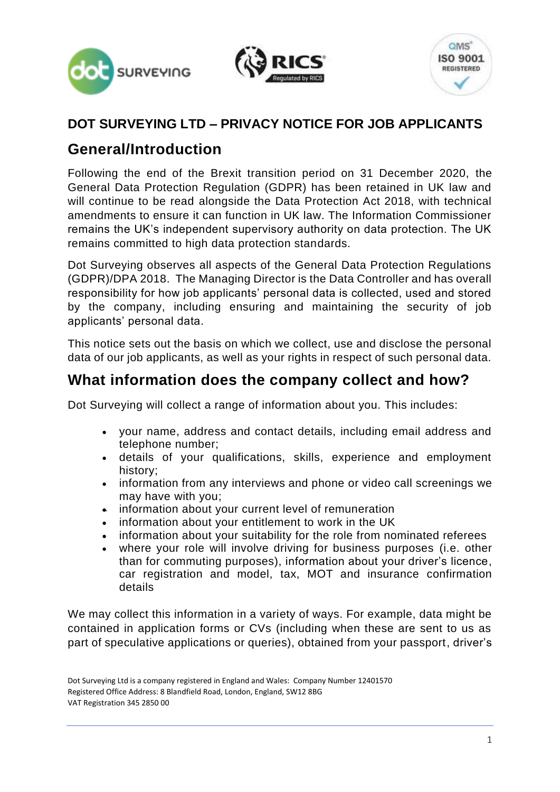





#### **DOT SURVEYING LTD – PRIVACY NOTICE FOR JOB APPLICANTS**

### **General/Introduction**

Following the end of the Brexit transition period on 31 December 2020, the General Data Protection Regulation (GDPR) has been retained in UK law and will continue to be read alongside the Data Protection Act 2018, with technical amendments to ensure it can function in UK law. The Information Commissioner remains the UK's independent supervisory authority on data protection. The UK remains committed to high data protection standards.

Dot Surveying observes all aspects of the General Data Protection Regulations (GDPR)/DPA 2018. The Managing Director is the Data Controller and has overall responsibility for how job applicants' personal data is collected, used and stored by the company, including ensuring and maintaining the security of job applicants' personal data.

This notice sets out the basis on which we collect, use and disclose the personal data of our job applicants, as well as your rights in respect of such personal data.

### **What information does the company collect and how?**

Dot Surveying will collect a range of information about you. This includes:

- your name, address and contact details, including email address and telephone number;
- details of your qualifications, skills, experience and employment history;
- information from any interviews and phone or video call screenings we may have with you;
- information about your current level of remuneration
- information about your entitlement to work in the UK
- information about your suitability for the role from nominated referees
- where your role will involve driving for business purposes (i.e. other than for commuting purposes), information about your driver's licence, car registration and model, tax, MOT and insurance confirmation details

We may collect this information in a variety of ways. For example, data might be contained in application forms or CVs (including when these are sent to us as part of speculative applications or queries), obtained from your passport, driver's

Dot Surveying Ltd is a company registered in England and Wales: Company Number 12401570 Registered Office Address: 8 Blandfield Road, London, England, SW12 8BG VAT Registration 345 2850 00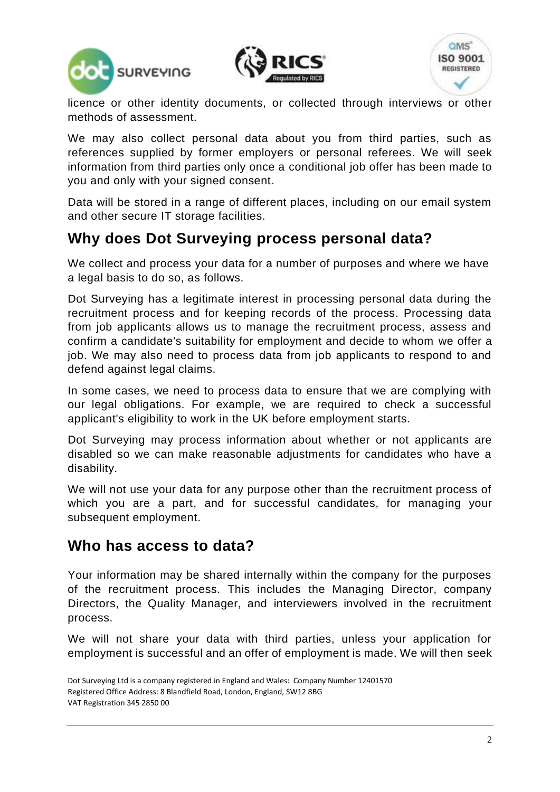





licence or other identity documents, or collected through interviews or other methods of assessment.

We may also collect personal data about you from third parties, such as references supplied by former employers or personal referees. We will seek information from third parties only once a conditional job offer has been made to you and only with your signed consent.

Data will be stored in a range of different places, including on our email system and other secure IT storage facilities.

## **Why does Dot Surveying process personal data?**

We collect and process your data for a number of purposes and where we have a legal basis to do so, as follows.

Dot Surveying has a legitimate interest in processing personal data during the recruitment process and for keeping records of the process. Processing data from job applicants allows us to manage the recruitment process, assess and confirm a candidate's suitability for employment and decide to whom we offer a job. We may also need to process data from job applicants to respond to and defend against legal claims.

In some cases, we need to process data to ensure that we are complying with our legal obligations. For example, we are required to check a successful applicant's eligibility to work in the UK before employment starts.

Dot Surveying may process information about whether or not applicants are disabled so we can make reasonable adjustments for candidates who have a disability.

We will not use your data for any purpose other than the recruitment process of which you are a part, and for successful candidates, for managing your subsequent employment.

#### **Who has access to data?**

Your information may be shared internally within the company for the purposes of the recruitment process. This includes the Managing Director, company Directors, the Quality Manager, and interviewers involved in the recruitment process.

We will not share your data with third parties, unless your application for employment is successful and an offer of employment is made. We will then seek

Dot Surveying Ltd is a company registered in England and Wales: Company Number 12401570 Registered Office Address: 8 Blandfield Road, London, England, SW12 8BG VAT Registration 345 2850 00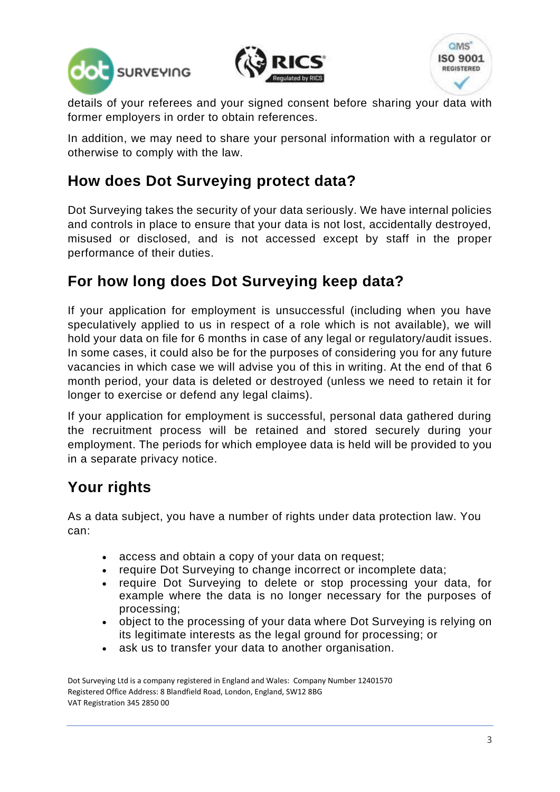





details of your referees and your signed consent before sharing your data with former employers in order to obtain references.

In addition, we may need to share your personal information with a regulator or otherwise to comply with the law.

# **How does Dot Surveying protect data?**

Dot Surveying takes the security of your data seriously. We have internal policies and controls in place to ensure that your data is not lost, accidentally destroyed, misused or disclosed, and is not accessed except by staff in the proper performance of their duties.

# **For how long does Dot Surveying keep data?**

If your application for employment is unsuccessful (including when you have speculatively applied to us in respect of a role which is not available), we will hold your data on file for 6 months in case of any legal or regulatory/audit issues. In some cases, it could also be for the purposes of considering you for any future vacancies in which case we will advise you of this in writing. At the end of that 6 month period, your data is deleted or destroyed (unless we need to retain it for longer to exercise or defend any legal claims).

If your application for employment is successful, personal data gathered during the recruitment process will be retained and stored securely during your employment. The periods for which employee data is held will be provided to you in a separate privacy notice.

# **Your rights**

As a data subject, you have a number of rights under data protection law. You can:

- access and obtain a copy of your data on request;
- require Dot Surveying to change incorrect or incomplete data;
- require Dot Surveying to delete or stop processing your data, for example where the data is no longer necessary for the purposes of processing;
- object to the processing of your data where Dot Surveying is relying on its legitimate interests as the legal ground for processing; or
- ask us to transfer your data to another organisation.

Dot Surveying Ltd is a company registered in England and Wales: Company Number 12401570 Registered Office Address: 8 Blandfield Road, London, England, SW12 8BG VAT Registration 345 2850 00